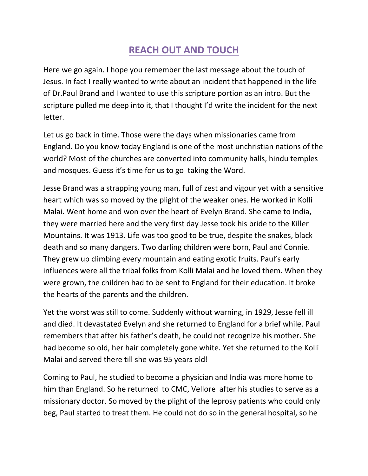## **REACH OUT AND TOUCH**

Here we go again. I hope you remember the last message about the touch of Jesus. In fact I really wanted to write about an incident that happened in the life of Dr.Paul Brand and I wanted to use this scripture portion as an intro. But the scripture pulled me deep into it, that I thought I'd write the incident for the next letter.

Let us go back in time. Those were the days when missionaries came from England. Do you know today England is one of the most unchristian nations of the world? Most of the churches are converted into community halls, hindu temples and mosques. Guess it's time for us to go taking the Word.

Jesse Brand was a strapping young man, full of zest and vigour yet with a sensitive heart which was so moved by the plight of the weaker ones. He worked in Kolli Malai. Went home and won over the heart of Evelyn Brand. She came to India, they were married here and the very first day Jesse took his bride to the Killer Mountains. It was 1913. Life was too good to be true, despite the snakes, black death and so many dangers. Two darling children were born, Paul and Connie. They grew up climbing every mountain and eating exotic fruits. Paul's early influences were all the tribal folks from Kolli Malai and he loved them. When they were grown, the children had to be sent to England for their education. It broke the hearts of the parents and the children.

Yet the worst was still to come. Suddenly without warning, in 1929, Jesse fell ill and died. It devastated Evelyn and she returned to England for a brief while. Paul remembers that after his father's death, he could not recognize his mother. She had become so old, her hair completely gone white. Yet she returned to the Kolli Malai and served there till she was 95 years old!

Coming to Paul, he studied to become a physician and India was more home to him than England. So he returned to CMC, Vellore after his studies to serve as a missionary doctor. So moved by the plight of the leprosy patients who could only beg, Paul started to treat them. He could not do so in the general hospital, so he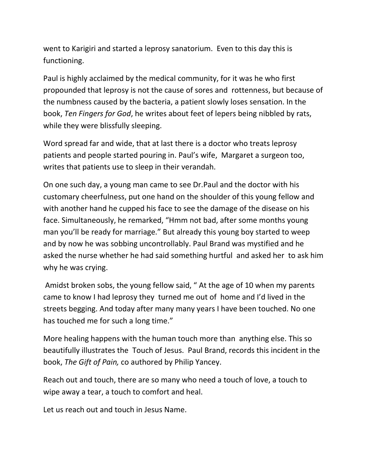went to Karigiri and started a leprosy sanatorium. Even to this day this is functioning.

Paul is highly acclaimed by the medical community, for it was he who first propounded that leprosy is not the cause of sores and rottenness, but because of the numbness caused by the bacteria, a patient slowly loses sensation. In the book, *Ten Fingers for God*, he writes about feet of lepers being nibbled by rats, while they were blissfully sleeping.

Word spread far and wide, that at last there is a doctor who treats leprosy patients and people started pouring in. Paul's wife, Margaret a surgeon too, writes that patients use to sleep in their verandah.

On one such day, a young man came to see Dr.Paul and the doctor with his customary cheerfulness, put one hand on the shoulder of this young fellow and with another hand he cupped his face to see the damage of the disease on his face. Simultaneously, he remarked, "Hmm not bad, after some months young man you'll be ready for marriage." But already this young boy started to weep and by now he was sobbing uncontrollably. Paul Brand was mystified and he asked the nurse whether he had said something hurtful and asked her to ask him why he was crying.

Amidst broken sobs, the young fellow said, " At the age of 10 when my parents came to know I had leprosy they turned me out of home and I'd lived in the streets begging. And today after many many years I have been touched. No one has touched me for such a long time."

More healing happens with the human touch more than anything else. This so beautifully illustrates the Touch of Jesus. Paul Brand, records this incident in the book, *The Gift of Pain,* co authored by Philip Yancey.

Reach out and touch, there are so many who need a touch of love, a touch to wipe away a tear, a touch to comfort and heal.

Let us reach out and touch in Jesus Name.